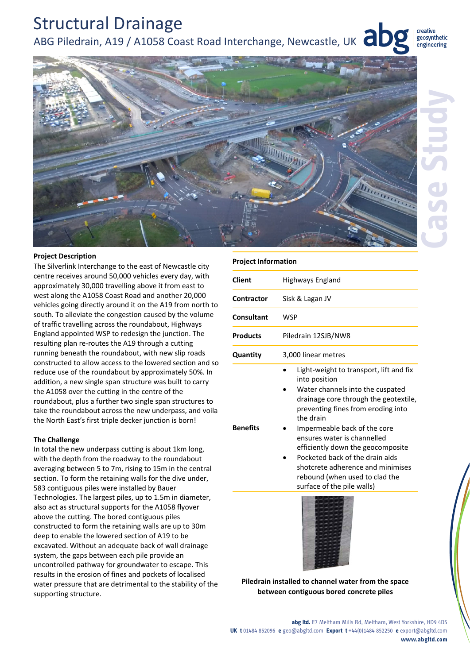# Structural Drainage ABG Piledrain, A19 / A1058 Coast Road Interchange, Newcastle, UK  $\overline{d}$

creative geosynthetic engineering



## **Project Description**

The Silverlink Interchange to the east of Newcastle city centre receives around 50,000 vehicles every day, with approximately 30,000 travelling above it from east to west along the A1058 Coast Road and another 20,000 vehicles going directly around it on the A19 from north to south. To alleviate the congestion caused by the volume of traffic travelling across the roundabout, Highways England appointed WSP to redesign the junction. The resulting plan re‐routes the A19 through a cutting running beneath the roundabout, with new slip roads constructed to allow access to the lowered section and so reduce use of the roundabout by approximately 50%. In addition, a new single span structure was built to carry the A1058 over the cutting in the centre of the roundabout, plus a further two single span structures to take the roundabout across the new underpass, and voila the North East's first triple decker junction is born!

## **The Challenge**

In total the new underpass cutting is about 1km long, with the depth from the roadway to the roundabout averaging between 5 to 7m, rising to 15m in the central section. To form the retaining walls for the dive under, 583 contiguous piles were installed by Bauer Technologies. The largest piles, up to 1.5m in diameter, also act as structural supports for the A1058 flyover above the cutting. The bored contiguous piles constructed to form the retaining walls are up to 30m deep to enable the lowered section of A19 to be excavated. Without an adequate back of wall drainage system, the gaps between each pile provide an uncontrolled pathway for groundwater to escape. This results in the erosion of fines and pockets of localised water pressure that are detrimental to the stability of the supporting structure.

#### **Project Information**

| Client          | Highways England                                                                                                                                                                                                                                                                                                                                                                                                                     |
|-----------------|--------------------------------------------------------------------------------------------------------------------------------------------------------------------------------------------------------------------------------------------------------------------------------------------------------------------------------------------------------------------------------------------------------------------------------------|
| Contractor      | Sisk & Lagan JV                                                                                                                                                                                                                                                                                                                                                                                                                      |
| Consultant      | WSP                                                                                                                                                                                                                                                                                                                                                                                                                                  |
| <b>Products</b> | Piledrain 12SJB/NW8                                                                                                                                                                                                                                                                                                                                                                                                                  |
| Quantity        | 3,000 linear metres                                                                                                                                                                                                                                                                                                                                                                                                                  |
| <b>Benefits</b> | Light-weight to transport, lift and fix<br>into position<br>Water channels into the cuspated<br>drainage core through the geotextile,<br>preventing fines from eroding into<br>the drain<br>Impermeable back of the core<br>ensures water is channelled<br>efficiently down the geocomposite<br>Pocketed back of the drain aids<br>shotcrete adherence and minimises<br>rebound (when used to clad the<br>surface of the pile walls) |



**Piledrain installed to channel water from the space between contiguous bored concrete piles**